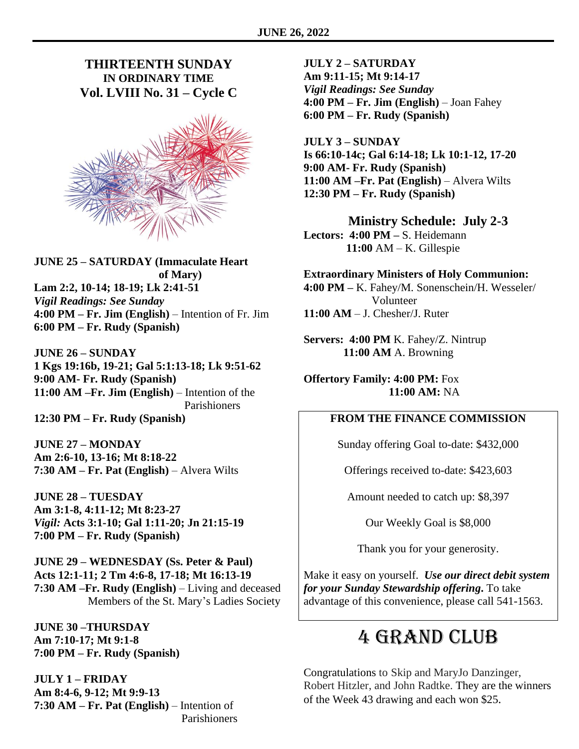### **THIRTEENTH SUNDAY IN ORDINARY TIME Vol. LVIII No. 31 – Cycle C**



**JUNE 25 – SATURDAY (Immaculate Heart of Mary) Lam 2:2, 10-14; 18-19; Lk 2:41-51** *Vigil Readings: See Sunday* **4:00 PM – Fr. Jim (English)** – Intention of Fr. Jim **6:00 PM – Fr. Rudy (Spanish)**

**JUNE 26 – SUNDAY 1 Kgs 19:16b, 19-21; Gal 5:1:13-18; Lk 9:51-62 9:00 AM- Fr. Rudy (Spanish) 11:00 AM –Fr. Jim (English)** – Intention of the Parishioners **12:30 PM – Fr. Rudy (Spanish)**

**JUNE 27 – MONDAY Am 2:6-10, 13-16; Mt 8:18-22 7:30 AM – Fr. Pat (English)** – Alvera Wilts

**JUNE 28 – TUESDAY Am 3:1-8, 4:11-12; Mt 8:23-27** *Vigil:* **Acts 3:1-10; Gal 1:11-20; Jn 21:15-19 7:00 PM – Fr. Rudy (Spanish)**

**JUNE 29 – WEDNESDAY (Ss. Peter & Paul) Acts 12:1-11; 2 Tm 4:6-8, 17-18; Mt 16:13-19 7:30 AM –Fr. Rudy (English)** – Living and deceased Members of the St. Mary's Ladies Society

**JUNE 30 –THURSDAY Am 7:10-17; Mt 9:1-8 7:00 PM – Fr. Rudy (Spanish)**

**JULY 1 – FRIDAY Am 8:4-6, 9-12; Mt 9:9-13 7:30 AM – Fr. Pat (English)** – Intention of Parishioners **JULY 2 – SATURDAY Am 9:11-15; Mt 9:14-17** *Vigil Readings: See Sunday* **4:00 PM – Fr. Jim (English)** – Joan Fahey **6:00 PM – Fr. Rudy (Spanish)**

**JULY 3 – SUNDAY Is 66:10-14c; Gal 6:14-18; Lk 10:1-12, 17-20 9:00 AM- Fr. Rudy (Spanish) 11:00 AM –Fr. Pat (English)** – Alvera Wilts **12:30 PM – Fr. Rudy (Spanish)**

**Ministry Schedule: July 2-3 Lectors: 4:00 PM –** S. Heidemann

 **11:00** AM – K. Gillespie

**Extraordinary Ministers of Holy Communion: 4:00 PM –** K. Fahey/M. Sonenschein/H. Wesseler/ Volunteer **11:00 AM** – J. Chesher/J. Ruter

**Servers: 4:00 PM** K. Fahey/Z. Nintrup  **11:00 AM** A. Browning

**Offertory Family: 4:00 PM:** Fox **11:00 AM:** NA

### **FROM THE FINANCE COMMISSION**

Sunday offering Goal to-date: \$432,000

Offerings received to-date: \$423,603

Amount needed to catch up: \$8,397

Our Weekly Goal is \$8,000

Thank you for your generosity.

Make it easy on yourself. *Use our direct debit system for your Sunday Stewardship offering***.** To take advantage of this convenience, please call 541-1563.

## 4 Grand Club

Congratulations to Skip and MaryJo Danzinger, Robert Hitzler, and John Radtke. They are the winners of the Week 43 drawing and each won \$25.